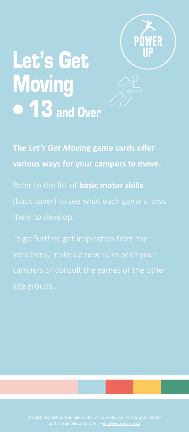

# Let's Get **Moving 13** and Over

**The** *Let's Get Movin***g game cards offer**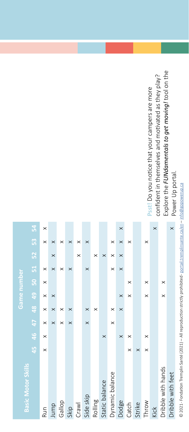© 2021 - Fondation Tremplin Santé (2021) – All reproduction strictly prohibited- <u>portail tremplinsante.ca/en – info@gopowerup.ca</u> © 2021 - Fondation Tremplin Santé (2021) – All reproduction strictly prohibited - [portail.tremplinsante.ca/en](http://portail.tremplinsante.ca/en) – info@gopowerup.ca

Explore the FUNdamentals to get moving! tool on the Explore the *FUNdamentals to get moving!* tool on the confident in themselves and motivated as they play? confident in themselves and motivated as they play? Psst! Do you notice that your campers are more **Psst!** Do you notice that your campers are more Power Up portal. Power Up portal.  $\overline{\mathbf{x}}$ 

| <b>Basic Motor Skills</b> |          |          |          |          |          | Game number    |          |          |          |          |
|---------------------------|----------|----------|----------|----------|----------|----------------|----------|----------|----------|----------|
|                           | 45       | 46       | 47       | 48       | 49       | $\overline{5}$ | 51       | 52       | 53       | 54       |
| Run                       | $\times$ | $\times$ | $\times$ | $\times$ | $\times$ | $\times$       | ×        |          | $\times$ | $\times$ |
| Jump                      |          |          | $\times$ | $\times$ | $\times$ |                | $\times$ | $\times$ | $\times$ |          |
| Gallop                    |          |          | $\times$ | $\times$ |          |                | ×        |          | ×        |          |
| skip                      |          |          | $\times$ | $\times$ |          |                | $\times$ |          | $\times$ |          |
| Crawl                     |          |          |          |          |          |                |          | ×        | $\times$ |          |
| Side skip                 |          |          | $\times$ | $\times$ |          |                | $\times$ |          | $\times$ |          |
| Rolling                   |          |          |          | ×        |          |                |          | ×        |          |          |
| Static balance            |          | $\times$ |          |          |          |                |          | $\times$ |          |          |
| Dynamic balance           |          |          | $\times$ | $\times$ |          |                | $\times$ | $\times$ | $\times$ |          |
| Dodge                     |          | $\times$ |          | $\times$ | $\times$ |                | $\times$ | $\times$ | $\times$ | $\times$ |
| Catch                     | $\times$ | $\times$ |          |          | ×        | $\times$       |          |          | $\times$ |          |
| Strike                    | $\times$ |          |          |          |          |                |          |          |          |          |
| Throw                     | $\times$ | $\times$ |          |          | $\times$ | $\times$       |          |          | ×        |          |
| <b>Kick</b>               |          |          |          |          |          |                |          |          |          | $\times$ |
| Dribble with hands        |          |          |          |          | $\times$ | $\times$       |          |          |          |          |
| Dribble with feet         |          |          |          |          |          |                |          |          |          | $\times$ |
|                           |          |          |          |          |          |                |          |          |          |          |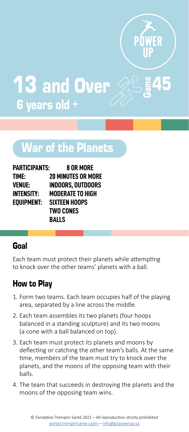

Game **13 and Over** 6 years old +

# War of the Planets

| PARTICIPANTS: | 8 OR MORE                 |
|---------------|---------------------------|
| TIME:         | <b>20 MINUTES OR MORE</b> |
| VENUE:        | INDOORS. OUTDOORS         |
| INTENSITY:    | MODERATE TO HIGH          |
| EOUIPMENT:    | SIXTEEN HOOPS             |
|               | <b>TWO CONES</b>          |
|               | BALLS                     |

#### Goal

Each team must protect their planets while attempting to knock over the other teams' planets with a ball.

- 1. Form two teams. Each team occupies half of the playing area, separated by a line across the middle.
- 2. Each team assembles its two planets (four hoops balanced in a standing sculpture) and its two moons (a cone with a ball balanced on top).
- 3. Each team must protect its planets and moons by deflecting or catching the other team's balls. At the same time, members of the team must try to knock over the planets, and the moons of the opposing team with their balls.
- 4. The team that succeeds in destroying the planets and the moons of the opposing team wins.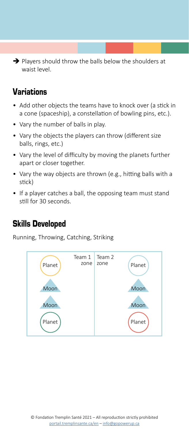$\rightarrow$  Players should throw the balls below the shoulders at waist level.

# Variations

- Add other objects the teams have to knock over (a stick in a cone (spaceship), a constellation of bowling pins, etc.).
- Vary the number of balls in play.
- Vary the objects the players can throw (different size balls, rings, etc.)
- Vary the level of difficulty by moving the planets further apart or closer together.
- Vary the way objects are thrown (e.g., hitting balls with a stick)
- If a player catches a ball, the opposing team must stand still for 30 seconds.

#### Skills Developed

Running, Throwing, Catching, Striking

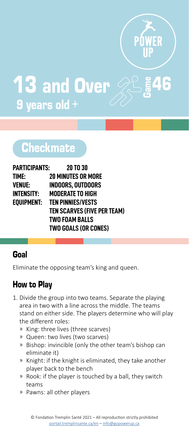

 $\frac{2}{5}$ 46 **13 and Over** 9 years old +

# **Checkmate**

| PARTICIPANTS: | <b>20 TO 30</b>                     |
|---------------|-------------------------------------|
| TIME:         | <b>20 MINUTES OR MORE</b>           |
| VENUE:        | <b>INDOORS. OUTDOORS</b>            |
| INTENSITY:    | <b>MODERATE TO HIGH</b>             |
|               | <b>EQUIPMENT: TEN PINNIES/VESTS</b> |
|               | <b>TEN SCARVES (FIVE PER TEAM)</b>  |
|               | <b>TWO FOAM BALLS</b>               |
|               | <b>TWO GOALS (OR CONES)</b>         |

#### Goal

Eliminate the opposing team's king and queen.

- 1. Divide the group into two teams. Separate the playing area in two with a line across the middle. The teams stand on either side. The players determine who will play the different roles:
	- ͫ King: three lives (three scarves)
	- ͫ Queen: two lives (two scarves)
	- ͫ Bishop: invincible (only the other team's bishop can eliminate it)
	- ͫ Knight: if the knight is eliminated, they take another player back to the bench
	- ͫ Rook: if the player is touched by a ball, they switch teams
	- ͫ Pawns: all other players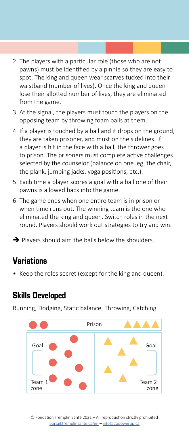- 2. The players with a particular role (those who are not pawns) must be identified by a pinnie so they are easy to spot. The king and queen wear scarves tucked into their waistband (number of lives). Once the king and queen lose their allotted number of lives, they are eliminated from the game.
- 3. At the signal, the players must touch the players on the opposing team by throwing foam balls at them.
- 4. If a player is touched by a ball and it drops on the ground, they are taken prisoner, and must on the sidelines. If a player is hit in the face with a ball, the thrower goes to prison. The prisoners must complete active challenges selected by the counselor (balance on one leg, the chair, the plank, jumping jacks, yoga positions, etc.).
- 5. Each time a player scores a goal with a ball one of their pawns is allowed back into the game.
- 6. The game ends when one entire team is in prison or when time runs out. The winning team is the one who eliminated the king and queen. Switch roles in the next round. Players should work out strategies to try and win.
- $\rightarrow$  Players should aim the balls below the shoulders.

• Keep the roles secret (except for the king and queen).

#### Skills Developed

Running, Dodging, Static balance, Throwing, Catching

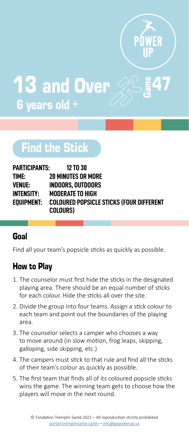

47 **13 and Over** 6 years old +

# Find the Stick

| PARTICIPANTS: | 12 TO 30                                 |
|---------------|------------------------------------------|
| time:         | <b>20 MINUTES OR MORE</b>                |
| VENUE:        | <b>INDOORS. OUTDOORS</b>                 |
| INTENSITY:    | <b>MODERATE TO HIGH</b>                  |
| EOUIPMENT:    | COLOURED POPSICLE STICKS (FOUR DIFFERENT |
|               | <b>COLOURS)</b>                          |

#### Goal

Find all your team's popsicle sticks as quickly as possible.

- 1. The counselor must first hide the sticks in the designated playing area. There should be an equal number of sticks for each colour. Hide the sticks all over the site.
- 2. Divide the group into four teams. Assign a stick colour to each team and point out the boundaries of the playing area.
- 3. The counselor selects a camper who chooses a way to move around (in slow motion, frog leaps, skipping, galloping, side skipping, etc.)
- 4. The campers must stick to that rule and find all the sticks of their team's colour as quickly as possible.
- 5. The first team that finds all of its coloured popsicle sticks wins the game. The winning team gets to choose how the players will move in the next round.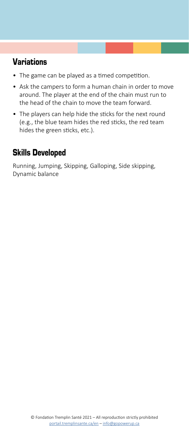- The game can be played as a timed competition.
- Ask the campers to form a human chain in order to move around. The player at the end of the chain must run to the head of the chain to move the team forward.
- The players can help hide the sticks for the next round (e.g., the blue team hides the red sticks, the red team hides the green sticks, etc.).

# Skills Developed

Running, Jumping, Skipping, Galloping, Side skipping, Dynamic balance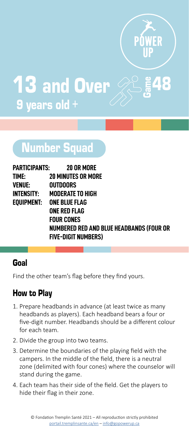

 $\frac{2}{3}$ 48 **13 and Over** 9 years old +

# **Number Squad**

|                   | <b>PARTICIPANTS: 20 OR MORE</b>          |
|-------------------|------------------------------------------|
| TIME:             | <b>20 MINUTES OR MORE</b>                |
| VENUE:            | <b>OUTDOORS</b>                          |
| <b>INTENSITY:</b> | <b>MODERATE TO HIGH</b>                  |
| EOUIPMENT:        | ONE BLUE FLAG                            |
|                   | ONE RED FLAG                             |
|                   | <b>FOUR CONES</b>                        |
|                   | NUMBERED RED AND BLUE HEADBANDS (FOUR OR |
|                   | <b>FIVE-DIGIT NUMBERS)</b>               |

#### Goal

Find the other team's flag before they find yours.

- 1. Prepare headbands in advance (at least twice as many headbands as players). Each headband bears a four or five-digit number. Headbands should be a different colour for each team.
- 2. Divide the group into two teams.
- 3. Determine the boundaries of the playing field with the campers. In the middle of the field, there is a neutral zone (delimited with four cones) where the counselor will stand during the game.
- 4. Each team has their side of the field. Get the players to hide their flag in their zone.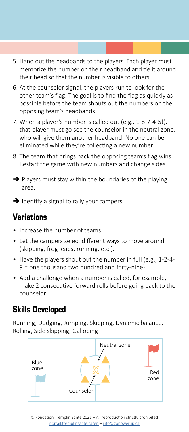- 5. Hand out the headbands to the players. Each player must memorize the number on their headband and tie it around their head so that the number is visible to others.
- 6. At the counselor signal, the players run to look for the other team's flag. The goal is to find the flag as quickly as possible before the team shouts out the numbers on the opposing team's headbands.
- 7. When a player's number is called out (e.g., 1-8-7-4-5!), that player must go see the counselor in the neutral zone, who will give them another headband. No one can be eliminated while they're collecting a new number.
- 8. The team that brings back the opposing team's flag wins. Restart the game with new numbers and change sides.
- $\rightarrow$  Players must stay within the boundaries of the playing area.
- $\rightarrow$  Identify a signal to rally your campers.

- Increase the number of teams.
- Let the campers select different ways to move around (skipping, frog leaps, running, etc.).
- Have the players shout out the number in full (e.g., 1-2-4- 9 = one thousand two hundred and forty-nine).
- Add a challenge when a number is called, for example, make 2 consecutive forward rolls before going back to the counselor.

#### Skills Developed

Running, Dodging, Jumping, Skipping, Dynamic balance, Rolling, Side skipping, Galloping

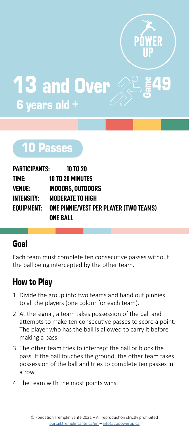

 $\frac{2}{3}$ 49 13 and Over 6 years old +

# 10 Passes

| PARTICIPANTS: | <b>10 TO 20</b>                               |
|---------------|-----------------------------------------------|
| TIME:         | <b>10 TO 20 MINUTES</b>                       |
| VENUE:        | <b>INDOORS. OUTDOORS</b>                      |
| INTENSITY:    | <b>MODERATE TO HIGH</b>                       |
| Eouipment:    | <b>ONE PINNIE/VEST PER PLAYER (TWO TEAMS)</b> |
|               | <b>ONE BALL</b>                               |

# Goal

Each team must complete ten consecutive passes without the ball being intercepted by the other team.

- 1. Divide the group into two teams and hand out pinnies to all the players (one colour for each team).
- 2. At the signal, a team takes possession of the ball and attempts to make ten consecutive passes to score a point. The player who has the ball is allowed to carry it before making a pass.
- 3. The other team tries to intercept the ball or block the pass. If the ball touches the ground, the other team takes possession of the ball and tries to complete ten passes in a row.
- 4. The team with the most points wins.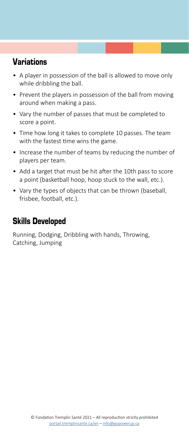- A player in possession of the ball is allowed to move only while dribbling the ball.
- Prevent the players in possession of the ball from moving around when making a pass.
- Vary the number of passes that must be completed to score a point.
- Time how long it takes to complete 10 passes. The team with the fastest time wins the game.
- Increase the number of teams by reducing the number of players per team.
- Add a target that must be hit after the 10th pass to score a point (basketball hoop, hoop stuck to the wall, etc.).
- Vary the types of objects that can be thrown (baseball, frisbee, football, etc.).

#### Skills Developed

Running, Dodging, Dribbling with hands, Throwing, Catching, Jumping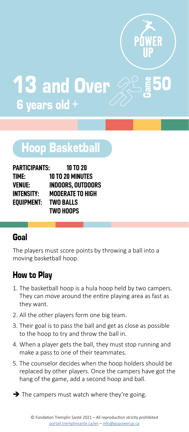

 $\frac{2}{3}$ 50

**13 and Over** 6 years old +

# Hoop Basketball

| <b>PARTICIPANTS:</b> | <b>10 TO 20</b>         |
|----------------------|-------------------------|
| TIME:                | <b>10 TO 20 MINUTES</b> |
| VENUE:               | INDOORS. OUTDOORS       |
| <b>INTENSITY:</b>    | <b>MODERATE TO HIGH</b> |
| EOUIPMENT:           | <b>TWO BALLS</b>        |
|                      | <b>TWO HOOPS</b>        |

#### Goal

The players must score points by throwing a ball into a moving basketball hoop.

- 1. The basketball hoop is a hula hoop held by two campers. They can move around the entire playing area as fast as they want.
- 2. All the other players form one big team.
- 3. Their goal is to pass the ball and get as close as possible to the hoop to try and throw the ball in.
- 4. When a player gets the ball, they must stop running and make a pass to one of their teammates.
- 5. The counselor decides when the hoop holders should be replaced by other players. Once the campers have got the hang of the game, add a second hoop and ball.
- $\rightarrow$  The campers must watch where they're going.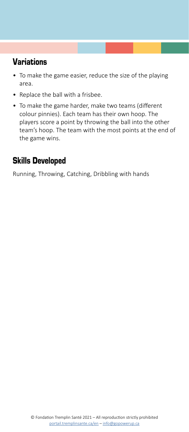- To make the game easier, reduce the size of the playing area.
- Replace the ball with a frisbee.
- To make the game harder, make two teams (different colour pinnies). Each team has their own hoop. The players score a point by throwing the ball into the other team's hoop. The team with the most points at the end of the game wins.

# Skills Developed

Running, Throwing, Catching, Dribbling with hands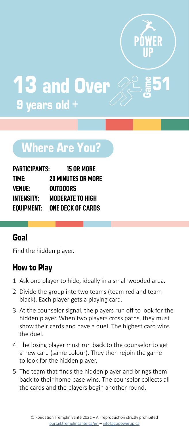

 $\frac{2}{5}$ 51 **13 and Over** 9 years old +

# Where Are You?

| PARTICIPANTS:     | <b>15 OR MORE</b>         |
|-------------------|---------------------------|
| TIME:             | <b>20 MINUTES OR MORE</b> |
| VENUE:            | OUTDOORS                  |
| <b>INTENSITY:</b> | <b>MODERATE TO HIGH</b>   |
| EOUIPMENT:        | <b>ONE DECK OF CARDS</b>  |

#### Goal

Find the hidden player.

- 1. Ask one player to hide, ideally in a small wooded area.
- 2. Divide the group into two teams (team red and team black). Each player gets a playing card.
- 3. At the counselor signal, the players run off to look for the hidden player. When two players cross paths, they must show their cards and have a duel. The highest card wins the duel.
- 4. The losing player must run back to the counselor to get a new card (same colour). They then rejoin the game to look for the hidden player.
- 5. The team that finds the hidden player and brings them back to their home base wins. The counselor collects all the cards and the players begin another round.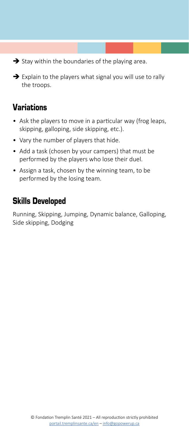$\rightarrow$  Stay within the boundaries of the playing area.

 $\rightarrow$  Explain to the players what signal you will use to rally the troops.

# Variations

- Ask the players to move in a particular way (frog leaps, skipping, galloping, side skipping, etc.).
- Vary the number of players that hide.
- Add a task (chosen by your campers) that must be performed by the players who lose their duel.
- Assign a task, chosen by the winning team, to be performed by the losing team.

#### Skills Developed

Running, Skipping, Jumping, Dynamic balance, Galloping, Side skipping, Dodging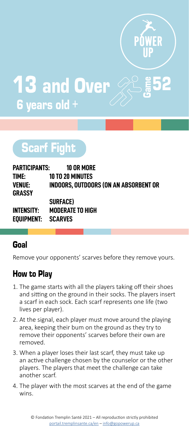

 $\frac{2}{3}$ 52 13 and Over 6 years old +

# Scarf Fight

| PARTICIPANTS:      | 10 OR MORE                                   |
|--------------------|----------------------------------------------|
| TIME:              | <b>10 TO 20 MINUTES</b>                      |
| VENUE:<br>GRASSY   | <b>INDOORS, OUTDOORS (ON AN ABSORBENT OR</b> |
|                    | <b>SURFACE</b> )                             |
| INTENSITY:         | <b>MODERATE TO HIGH</b>                      |
| EOUIPMENT: SCARVES |                                              |

# Goal

Remove your opponents' scarves before they remove yours.

- 1. The game starts with all the players taking off their shoes and sitting on the ground in their socks. The players insert a scarf in each sock. Each scarf represents one life (two lives per player).
- 2. At the signal, each player must move around the playing area, keeping their bum on the ground as they try to remove their opponents' scarves before their own are removed.
- 3. When a player loses their last scarf, they must take up an active challenge chosen by the counselor or the other players. The players that meet the challenge can take another scarf.
- 4. The player with the most scarves at the end of the game wins.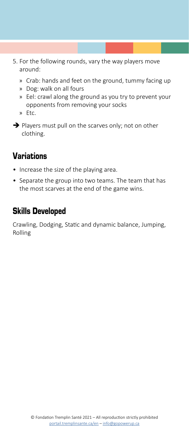- 5. For the following rounds, vary the way players move around:
	- » Crab: hands and feet on the ground, tummy facing up
	- » Dog: walk on all fours
	- » Eel: crawl along the ground as you try to prevent your opponents from removing your socks
	- » Etc.
- $\rightarrow$  Players must pull on the scarves only; not on other clothing.

- Increase the size of the playing area.
- Separate the group into two teams. The team that has the most scarves at the end of the game wins.

### Skills Developed

Crawling, Dodging, Static and dynamic balance, Jumping, Rolling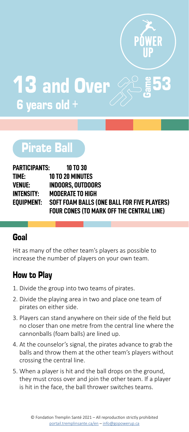

**S** 13 and Over 6 years old +

# Pirate Ball

| PARTICIPANTS: | 10 TO 30                                         |
|---------------|--------------------------------------------------|
| TIME:         | <b>10 TO 20 MINUTES</b>                          |
| VENUE:        | <b>INDOORS, OUTDOORS</b>                         |
| INTENSITY:    | <b>MODERATE TO HIGH</b>                          |
| EOUIPMENT:    | SOFT FOAM BALLS (ONE BALL FOR FIVE PLAYERS)      |
|               | <b>FOUR CONES (TO MARK OFF THE CENTRAL LINE)</b> |

#### Goal

Hit as many of the other team's players as possible to increase the number of players on your own team.

- 1. Divide the group into two teams of pirates.
- 2. Divide the playing area in two and place one team of pirates on either side.
- 3. Players can stand anywhere on their side of the field but no closer than one metre from the central line where the cannonballs (foam balls) are lined up.
- 4. At the counselor's signal, the pirates advance to grab the balls and throw them at the other team's players without crossing the central line.
- 5. When a player is hit and the ball drops on the ground, they must cross over and join the other team. If a player is hit in the face, the ball thrower switches teams.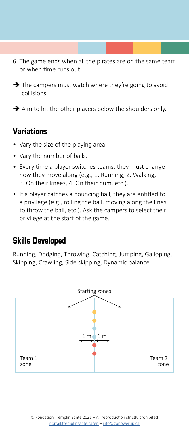- 6. The game ends when all the pirates are on the same team or when time runs out.
- $\rightarrow$  The campers must watch where they're going to avoid collisions.

 $\rightarrow$  Aim to hit the other players below the shoulders only.

#### Variations

- Vary the size of the playing area.
- Vary the number of balls.
- Every time a player switches teams, they must change how they move along (e.g., 1. Running, 2. Walking, 3. On their knees, 4. On their bum, etc.).
- If a player catches a bouncing ball, they are entitled to a privilege (e.g., rolling the ball, moving along the lines to throw the ball, etc.). Ask the campers to select their privilege at the start of the game.

#### Skills Developed

Running, Dodging, Throwing, Catching, Jumping, Galloping, Skipping, Crawling, Side skipping, Dynamic balance

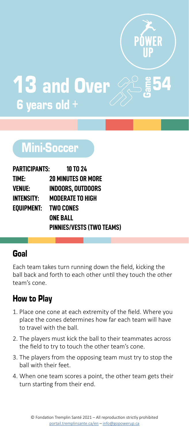

 $\overline{\mathbf{4}}$ 13 and Over 6 years old +

# Mini-Soccer

| PARTICIPANTS:        | <b>10 TO 24</b>           |
|----------------------|---------------------------|
| TIME:                | <b>20 MINUTES OR MORE</b> |
| VENUE:               | <b>INDOORS. OUTDOORS</b>  |
| INTENSITY:           | <b>MODERATE TO HIGH</b>   |
| EOUIPMENT: TWO CONES |                           |
|                      | <b>ONE BALL</b>           |
|                      | PINNIES/VESTS (TWO TEAMS) |

#### Goal

Each team takes turn running down the field, kicking the ball back and forth to each other until they touch the other team's cone.

- 1. Place one cone at each extremity of the field. Where you place the cones determines how far each team will have to travel with the ball.
- 2. The players must kick the ball to their teammates across the field to try to touch the other team's cone.
- 3. The players from the opposing team must try to stop the ball with their feet.
- 4. When one team scores a point, the other team gets their turn starting from their end.